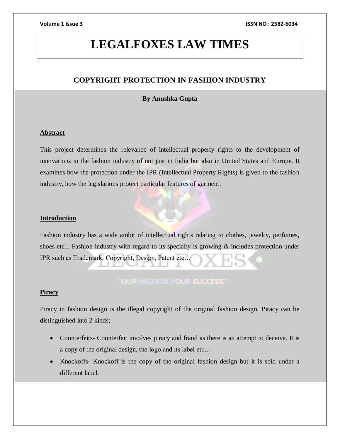# **LEGALFOXES LAW TIMES**

# **COPYRIGHT PROTECTION IN FASHION INDUSTRY**

# **By Anushka Gupta**

# **Abstract**

This project determines the relevance of intellectual property rights to the development of innovations in the fashion industry of not just in India but also in United States and Europe. It examines how the protection under the IPR (Intellectual Property Rights) is given to the fashion industry, how the legislations protect particular features of garment.

# **Introduction**

Fashion industry has a wide ambit of intellectual rights relating to clothes, jewelry, perfumes, shoes etc... Fashion industry with regard to its specialty is growing & includes protection under IPR such as Trademark, Copyright, Design, Patent etc…

# **"OUR MISSION YOUR SUCCESS"**

# **Piracy**

Piracy in fashion design is the illegal copyright of the original fashion design. Piracy can be distinguished into 2 kinds;

- Counterfeits- Counterfeit involves piracy and fraud as there is an attempt to deceive. It is a copy of the original design, the logo and its label etc…
- Knockoffs- Knockoff is the copy of the original fashion design but it is sold under a different label.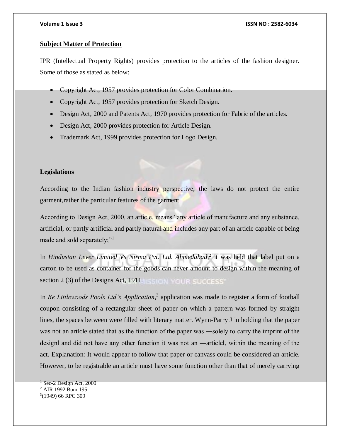# **Subject Matter of Protection**

IPR (Intellectual Property Rights) provides protection to the articles of the fashion designer. Some of those as stated as below:

- Copyright Act, 1957 provides protection for Color Combination.
- Copyright Act, 1957 provides protection for Sketch Design.
- Design Act, 2000 and Patents Act, 1970 provides protection for Fabric of the articles.
- Design Act, 2000 provides protection for Article Design.
- Trademark Act, 1999 provides protection for Logo Design.

# **Legislations**

According to the Indian fashion industry perspective, the laws do not protect the entire garment,rather the particular features of the garment.

According to Design Act, 2000, an article, means "any article of manufacture and any substance, artificial, or partly artificial and partly natural and includes any part of an article capable of being made and sold separately;"<sup>1</sup>

In *Hindustan Lever Limited Vs Nirma Pvt. Ltd. Ahmedabad*, 2 it was held that label put on a carton to be used as container for the goods can never amount to design within the meaning of section 2 (3) of the Designs Act, 1911.

In *Re Littlewoods Pools Ltd's Application*, 3 application was made to register a form of football coupon consisting of a rectangular sheet of paper on which a pattern was formed by straight lines, the spaces between were filled with literary matter. Wynn-Parry J in holding that the paper was not an article stated that as the function of the paper was —solely to carry the imprint of the design‖ and did not have any other function it was not an ―article‖, within the meaning of the act. Explanation: It would appear to follow that paper or canvass could be considered an article. However, to be registrable an article must have some function other than that of merely carrying

  $<sup>1</sup>$  Sec-2 Design Act, 2000</sup>

<sup>2</sup> AIR 1992 Bom 195

<sup>3</sup> (1949) 66 RPC 309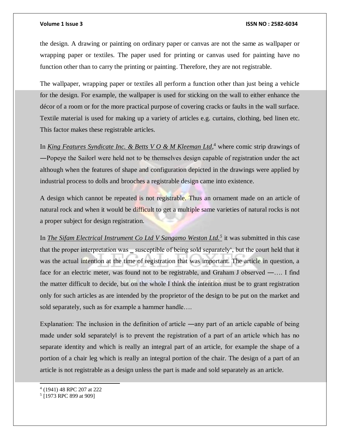the design. A drawing or painting on ordinary paper or canvas are not the same as wallpaper or wrapping paper or textiles. The paper used for printing or canvas used for painting have no function other than to carry the printing or painting. Therefore, they are not registrable.

The wallpaper, wrapping paper or textiles all perform a function other than just being a vehicle for the design. For example, the wallpaper is used for sticking on the wall to either enhance the décor of a room or for the more practical purpose of covering cracks or faults in the wall surface. Textile material is used for making up a variety of articles e.g. curtains, clothing, bed linen etc. This factor makes these registrable articles.

In *King Features Syndicate Inc. & Betts V O & M Kleeman Ltd*,<sup>4</sup> where comic strip drawings of ―Popeye the Sailor‖ were held not to be themselves design capable of registration under the act although when the features of shape and configuration depicted in the drawings were applied by industrial process to dolls and brooches a registrable design came into existence.

A design which cannot be repeated is not registrable. Thus an ornament made on an article of natural rock and when it would be difficult to get a multiple same varieties of natural rocks is not a proper subject for design registration.

In *The Sifam Electrical Instrument Co Ltd V Sangamo Weston Ltd.<sup>5</sup>* it was submitted in this case that the proper interpretation was \_ susceptible of being sold separately', but the court held that it was the actual intention at the time of registration that was important. The article in question, a face for an electric meter, was found not to be registrable, and Graham J observed ―…. I find the matter difficult to decide, but on the whole I think the intention must be to grant registration only for such articles as are intended by the proprietor of the design to be put on the market and sold separately, such as for example a hammer handle….

Explanation: The inclusion in the definition of article ―any part of an article capable of being made under sold separately‖ is to prevent the registration of a part of an article which has no separate identity and which is really an integral part of an article, for example the shape of a portion of a chair leg which is really an integral portion of the chair. The design of a part of an article is not registrable as a design unless the part is made and sold separately as an article.

l

<sup>4</sup> (1941) 48 RPC 207 at 222

<sup>5</sup> [1973 RPC 899 at 909]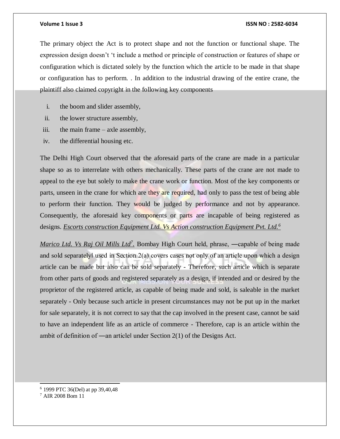The primary object the Act is to protect shape and not the function or functional shape. The expression design doesn't 't include a method or principle of construction or features of shape or configuration which is dictated solely by the function which the article to be made in that shape or configuration has to perform. . In addition to the industrial drawing of the entire crane, the plaintiff also claimed copyright in the following key components

- i. the boom and slider assembly,
- ii. the lower structure assembly,
- iii. the main frame axle assembly,
- iv. the differential housing etc.

The Delhi High Court observed that the aforesaid parts of the crane are made in a particular shape so as to interrelate with others mechanically. These parts of the crane are not made to appeal to the eye but solely to make the crane work or function. Most of the key components or parts, unseen in the crane for which are they are required, had only to pass the test of being able to perform their function. They would be judged by performance and not by appearance. Consequently, the aforesaid key components or parts are incapable of being registered as designs. *Escorts construction Equipment Ltd. Vs Action construction Equipment Pvt. Ltd.<sup>6</sup>*

*Marico Ltd. Vs Raj Oil Mills Ltd<sup>7</sup>*. Bombay High Court held, phrase, —capable of being made and sold separately used in Section  $2(a)$  covers cases not only of an article upon which a design article can be made but also can be sold separately - Therefore, such article which is separate from other parts of goods and registered separately as a design, if intended and or desired by the proprietor of the registered article, as capable of being made and sold, is saleable in the market separately - Only because such article in present circumstances may not be put up in the market for sale separately, it is not correct to say that the cap involved in the present case, cannot be said to have an independent life as an article of commerce - Therefore, cap is an article within the ambit of definition of ―an article‖ under Section 2(1) of the Designs Act.

- <sup>6</sup> 1999 PTC 36(Del) at pp 39,40,48
- <sup>7</sup> AIR 2008 Bom 11

l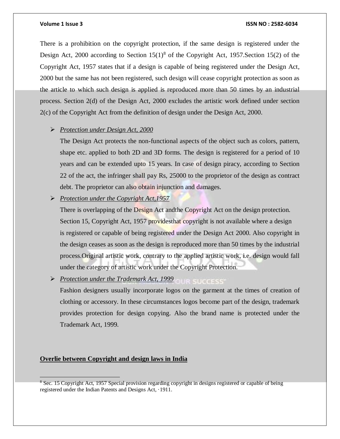There is a prohibition on the copyright protection, if the same design is registered under the Design Act, 2000 according to Section  $15(1)^8$  of the Copyright Act, 1957. Section 15(2) of the Copyright Act, 1957 states that if a design is capable of being registered under the Design Act, 2000 but the same has not been registered, such design will cease copyright protection as soon as the article to which such design is applied is reproduced more than 50 times by an industrial process. Section 2(d) of the Design Act, 2000 excludes the artistic work defined under section 2(c) of the Copyright Act from the definition of design under the Design Act, 2000.

# *Protection under Design Act, 2000*

The Design Act protects the non-functional aspects of the object such as colors, pattern, shape etc. applied to both 2D and 3D forms. The design is registered for a period of 10 years and can be extended upto 15 years. In case of design piracy, according to Section 22 of the act, the infringer shall pay Rs, 25000 to the proprietor of the design as contract debt. The proprietor can also obtain injunction and damages.

*Protection under the Copyright Act,1957*

There is overlapping of the Design Act and the Copyright Act on the design protection. Section 15, Copyright Act, 1957 provides that copyright is not available where a design is registered or capable of being registered under the Design Act 2000. Also copyright in the design ceases as soon as the design is reproduced more than 50 times by the industrial process.Original artistic work, contrary to the applied artistic work, i.e. design would fall under the category of artistic work under the Copyright Protection.

Protection under the Trademark Act, 1999

Fashion designers usually incorporate logos on the garment at the times of creation of clothing or accessory. In these circumstances logos become part of the design, trademark provides protection for design copying. Also the brand name is protected under the Trademark Act, 1999.

# **Overlie between Copyright and design laws in India**

<sup>&</sup>lt;sup>8</sup> Sec. 15 Copyright Act, 1957 Special provision regarding copyright in designs registered or capable of being registered under the Indian Patents and Designs Act, ·1911.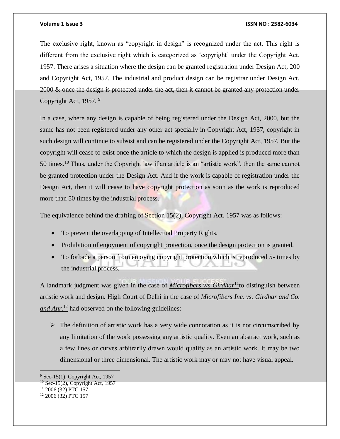The exclusive right, known as "copyright in design" is recognized under the act. This right is different from the exclusive right which is categorized as 'copyright' under the Copyright Act, 1957. There arises a situation where the design can be granted registration under Design Act, 200 and Copyright Act, 1957. The industrial and product design can be registrar under Design Act, 2000 & once the design is protected under the act, then it cannot be granted any protection under Copyright Act, 1957. <sup>9</sup>

In a case, where any design is capable of being registered under the Design Act, 2000, but the same has not been registered under any other act specially in Copyright Act, 1957, copyright in such design will continue to subsist and can be registered under the Copyright Act, 1957. But the copyright will cease to exist once the article to which the design is applied is produced more than 50 times.<sup>10</sup> Thus, under the Copyright law if an article is an "artistic work", then the same cannot be granted protection under the Design Act. And if the work is capable of registration under the Design Act, then it will cease to have copyright protection as soon as the work is reproduced more than 50 times by the industrial process.

The equivalence behind the drafting of Section  $15(2)$ , Copyright Act, 1957 was as follows:

- To prevent the overlapping of Intellectual Property Rights.
- Prohibition of enjoyment of copyright protection, once the design protection is granted.
- To forbade a person from enjoying copyright protection which is reproduced 5- times by the industrial process.

A landmark judgment was given in the case of *Microfibers v/s Girdhar*<sup>11</sup>to distinguish between artistic work and design. High Court of Delhi in the case of *Microfibers Inc. vs. Girdhar and Co. and Anr.*<sup>12</sup> had observed on the following guidelines:

 $\triangleright$  The definition of artistic work has a very wide connotation as it is not circumscribed by any limitation of the work possessing any artistic quality. Even an abstract work, such as a few lines or curves arbitrarily drawn would qualify as an artistic work. It may be two dimensional or three dimensional. The artistic work may or may not have visual appeal.

 $9$  Sec-15(1), Copyright Act, 1957

 $10$  Sec-15(2), Copyright Act, 1957

<sup>11</sup> 2006 (32) PTC 157

<sup>12</sup> 2006 (32) PTC 157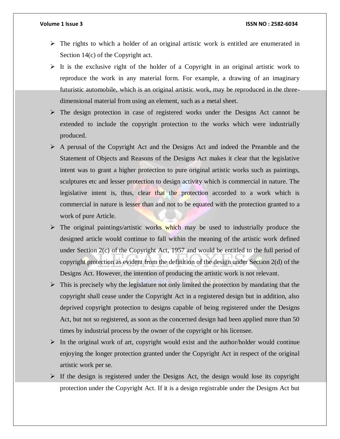- $\triangleright$  The rights to which a holder of an original artistic work is entitled are enumerated in Section 14(c) of the Copyright act.
- $\triangleright$  It is the exclusive right of the holder of a Copyright in an original artistic work to reproduce the work in any material form. For example, a drawing of an imaginary futuristic automobile, which is an original artistic work, may be reproduced in the threedimensional material from using an element, such as a metal sheet.
- $\triangleright$  The design protection in case of registered works under the Designs Act cannot be extended to include the copyright protection to the works which were industrially produced.
- $\triangleright$  A perusal of the Copyright Act and the Designs Act and indeed the Preamble and the Statement of Objects and Reasons of the Designs Act makes it clear that the legislative intent was to grant a higher protection to pure original artistic works such as paintings, sculptures etc and lesser protection to design activity which is commercial in nature. The legislative intent is, thus, clear that the protection accorded to a work which is commercial in nature is lesser than and not to be equated with the protection granted to a work of pure Article.
- $\triangleright$  The original paintings/artistic works which may be used to industrially produce the designed article would continue to fall within the meaning of the artistic work defined under Section 2(c) of the Copyright Act, 1957 and would be entitled to the full period of copyright protection as evident from the definition of the design under Section 2(d) of the Designs Act. However, the intention of producing the artistic work is not relevant.
- $\triangleright$  This is precisely why the legislature not only limited the protection by mandating that the copyright shall cease under the Copyright Act in a registered design but in addition, also deprived copyright protection to designs capable of being registered under the Designs Act, but not so registered, as soon as the concerned design had been applied more than 50 times by industrial process by the owner of the copyright or his licensee.
- $\triangleright$  In the original work of art, copyright would exist and the author/holder would continue enjoying the longer protection granted under the Copyright Act in respect of the original artistic work per se.
- $\triangleright$  If the design is registered under the Designs Act, the design would lose its copyright protection under the Copyright Act. If it is a design registrable under the Designs Act but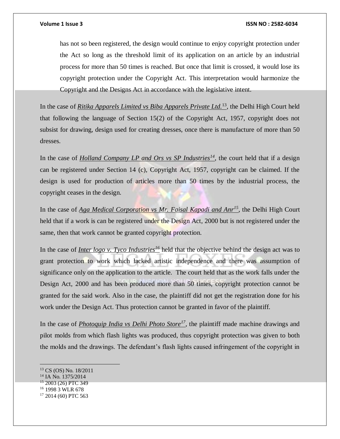has not so been registered, the design would continue to enjoy copyright protection under the Act so long as the threshold limit of its application on an article by an industrial process for more than 50 times is reached. But once that limit is crossed, it would lose its copyright protection under the Copyright Act. This interpretation would harmonize the Copyright and the Designs Act in accordance with the legislative intent.

In the case of *Ritika Apparels Limited vs Biba Apparels Private Ltd.*<sup>13</sup>, the Delhi High Court held that following the language of Section 15(2) of the Copyright Act, 1957, copyright does not subsist for drawing, design used for creating dresses, once there is manufacture of more than 50 dresses.

In the case of *Holland Company LP and Ors vs SP Industries*<sup>14</sup>, the court held that if a design can be registered under Section 14 (c), Copyright Act, 1957, copyright can be claimed. If the design is used for production of articles more than 50 times by the industrial process, the copyright ceases in the design.

In the case of *Aga Medical Corporation vs Mr. Faisal Kapadi and Anr<sup>15</sup>*, the Delhi High Court held that if a work is can be registered under the Design Act, 2000 but is not registered under the same, then that work cannot be granted copyright protection.

In the case of *Inter logo v. Tyco Industries<sup>16</sup>* held that the objective behind the design act was to grant protection to work which lacked artistic independence and there was assumption of significance only on the application to the article. The court held that as the work falls under the Design Act, 2000 and has been produced more than 50 times, copyright protection cannot be granted for the said work. Also in the case, the plaintiff did not get the registration done for his work under the Design Act. Thus protection cannot be granted in favor of the plaintiff.

In the case of *Photoquip India vs Delhi Photo Store<sup>17</sup>*, the plaintiff made machine drawings and pilot molds from which flash lights was produced, thus copyright protection was given to both the molds and the drawings. The defendant's flash lights caused infringement of the copyright in

 $\overline{a}$ 

<sup>16</sup> 1998 3 WLR 678

<sup>13</sup> CS (OS) No. 18/2011

<sup>&</sup>lt;sup>14</sup> IA No. 1375/2014

<sup>&</sup>lt;sup>15</sup> 2003 (26) PTC 349

<sup>17</sup> 2014 (60) PTC 563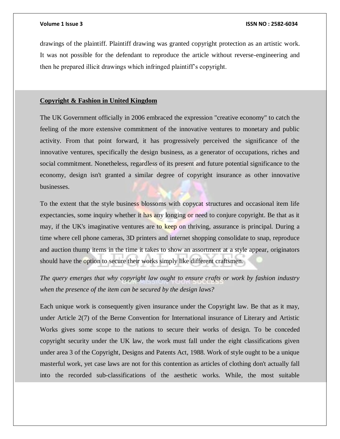drawings of the plaintiff. Plaintiff drawing was granted copyright protection as an artistic work. It was not possible for the defendant to reproduce the article without reverse-engineering and then he prepared illicit drawings which infringed plaintiff's copyright.

# **Copyright & Fashion in United Kingdom**

The UK Government officially in 2006 embraced the expression "creative economy" to catch the feeling of the more extensive commitment of the innovative ventures to monetary and public activity. From that point forward, it has progressively perceived the significance of the innovative ventures, specifically the design business, as a generator of occupations, riches and social commitment. Nonetheless, regardless of its present and future potential significance to the economy, design isn't granted a similar degree of copyright insurance as other innovative businesses.

To the extent that the style business blossoms with copycat structures and occasional item life expectancies, some inquiry whether it has any longing or need to conjure copyright. Be that as it may, if the UK's imaginative ventures are to keep on thriving, assurance is principal. During a time where cell phone cameras, 3D printers and internet shopping consolidate to snap, reproduce and auction thump items in the time it takes to show an assortment at a style appear, originators should have the option to secure their works simply like different craftsmen.

*The query emerges that why copyright law ought to ensure crafts or work by fashion industry when the presence of the item can be secured by the design laws?* 

Each unique work is consequently given insurance under the Copyright law. Be that as it may, under Article 2(7) of the Berne Convention for International insurance of Literary and Artistic Works gives some scope to the nations to secure their works of design. To be conceded copyright security under the UK law, the work must fall under the eight classifications given under area 3 of the Copyright, Designs and Patents Act, 1988. Work of style ought to be a unique masterful work, yet case laws are not for this contention as articles of clothing don't actually fall into the recorded sub-classifications of the aesthetic works. While, the most suitable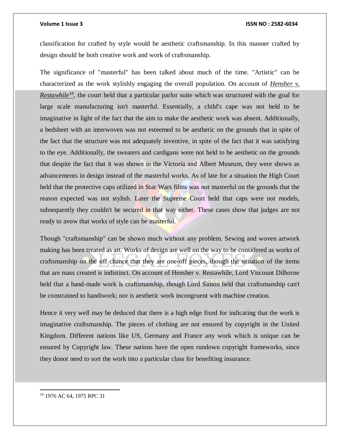classification for crafted by style would be aesthetic craftsmanship. In this manner crafted by design should be both creative work and work of craftsmanship.

The significance of "masterful" has been talked about much of the time. "Artistic" can be characterized as the work stylishly engaging the overall population. On account of *Hensher v. Restawhile*<sup>18</sup>, the court held that a particular parlor suite which was structured with the goal for large scale manufacturing isn't masterful. Essentially, a child's cape was not held to be imaginative in light of the fact that the aim to make the aesthetic work was absent. Additionally, a bedsheet with an interwoven was not esteemed to be aesthetic on the grounds that in spite of the fact that the structure was not adequately inventive, in spite of the fact that it was satisfying to the eye. Additionally, the sweaters and cardigans were not held to be aesthetic on the grounds that despite the fact that it was shown in the Victoria and Albert Museum, they were shown as advancements in design instead of the masterful works. As of late for a situation the High Court held that the protective caps utilized in Star Wars films was not masterful on the grounds that the reason expected was not stylish. Later the Supreme Court held that caps were not models, subsequently they couldn't be secured in that way either. These cases show that judges are not ready to avow that works of style can be masterful.

Though "craftsmanship" can be shown much without any problem. Sewing and woven artwork making has been treated as art. Works of design are well on the way to be considered as works of craftsmanship on the off chance that they are one-off pieces, though the situation of the items that are mass created is indistinct. On account of Hensher v. Restawhile, Lord Viscount Dilhorne held that a hand-made work is craftsmanship, though Lord Simon held that craftsmanship can't be constrained to handiwork; nor is aesthetic work incongruent with machine creation.

Hence it very well may be deduced that there is a high edge fixed for indicating that the work is imaginative craftsmanship. The pieces of clothing are not ensured by copyright in the United Kingdom. Different nations like US, Germany and France any work which is unique can be ensured by Copyright law. These nations have the open rundown copyright frameworks, since they donot need to sort the work into a particular class for benefiting insurance.

<sup>18</sup> 1976 AC 64, 1975 RPC 31

 $\overline{a}$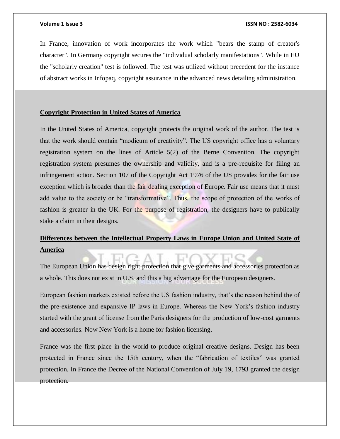In France, innovation of work incorporates the work which "bears the stamp of creator's character". In Germany copyright secures the "individual scholarly manifestations". While in EU the "scholarly creation" test is followed. The test was utilized without precedent for the instance of abstract works in Infopaq, copyright assurance in the advanced news detailing administration.

# **Copyright Protection in United States of America**

In the United States of America, copyright protects the original work of the author. The test is that the work should contain "modicum of creativity". The US copyright office has a voluntary registration system on the lines of Article 5(2) of the Berne Convention. The copyright registration system presumes the ownership and validity, and is a pre-requisite for filing an infringement action. Section 107 of the Copyright Act 1976 of the US provides for the fair use exception which is broader than the fair dealing exception of Europe. Fair use means that it must add value to the society or be "transformative". Thus, the scope of protection of the works of fashion is greater in the UK. For the purpose of registration, the designers have to publically stake a claim in their designs.

# **Differences between the Intellectual Property Laws in Europe Union and United State of America**

The European Union has design right protection that give garments and accessories protection as a whole. This does not exist in U.S. and this a big advantage for the European designers.

European fashion markets existed before the US fashion industry, that's the reason behind the of the pre-existence and expansive IP laws in Europe. Whereas the New York's fashion industry started with the grant of license from the Paris designers for the production of low-cost garments and accessories. Now New York is a home for fashion licensing.

France was the first place in the world to produce original creative designs. Design has been protected in France since the 15th century, when the "fabrication of textiles" was granted protection. In France the Decree of the National Convention of July 19, 1793 granted the design protection.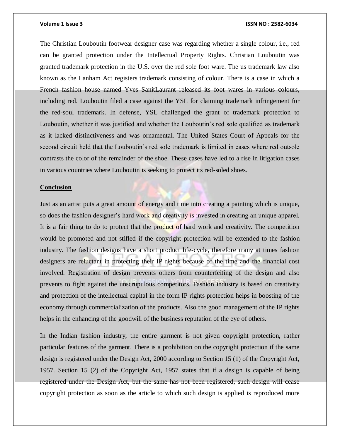The Christian Louboutin footwear designer case was regarding whether a single colour, i.e., red can be granted protection under the Intellectual Property Rights. Christian Louboutin was granted trademark protection in the U.S. over the red sole foot ware. The us trademark law also known as the Lanham Act registers trademark consisting of colour. There is a case in which a French fashion house named Yves SanitLaurant released its foot wares in various colours, including red. Louboutin filed a case against the YSL for claiming trademark infringement for the red-soul trademark. In defense, YSL challenged the grant of trademark protection to Louboutin, whether it was justified and whether the Louboutin's red sole qualified as trademark as it lacked distinctiveness and was ornamental. The United States Court of Appeals for the second circuit held that the Louboutin's red sole trademark is limited in cases where red outsole contrasts the color of the remainder of the shoe. These cases have led to a rise in litigation cases in various countries where Louboutin is seeking to protect its red-soled shoes.

# **Conclusion**

Just as an artist puts a great amount of energy and time into creating a painting which is unique, so does the fashion designer's hard work and creativity is invested in creating an unique apparel. It is a fair thing to do to protect that the product of hard work and creativity. The competition would be promoted and not stifled if the copyright protection will be extended to the fashion industry. The fashion designs have a short product life-cycle, therefore many at times fashion designers are reluctant in protecting their IP rights because of the time and the financial cost involved. Registration of design prevents others from counterfeiting of the design and also prevents to fight against the unscrupulous competitors. Fashion industry is based on creativity and protection of the intellectual capital in the form IP rights protection helps in boosting of the economy through commercialization of the products. Also the good management of the IP rights helps in the enhancing of the goodwill of the business reputation of the eye of others.

In the Indian fashion industry, the entire garment is not given copyright protection, rather particular features of the garment. There is a prohibition on the copyright protection if the same design is registered under the Design Act, 2000 according to Section 15 (1) of the Copyright Act, 1957. Section 15 (2) of the Copyright Act, 1957 states that if a design is capable of being registered under the Design Act, but the same has not been registered, such design will cease copyright protection as soon as the article to which such design is applied is reproduced more